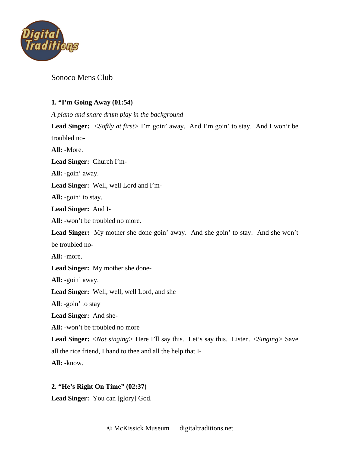

 Sonoco Mens Club

## **1. "I'm Going Away (01:54)**

*A piano and snare drum play in the background* 

**Lead Singer:** *<Softly at first>* I'm goin' away. And I'm goin' to stay. And I won't be troubled no-

**All: -**More.

**Lead Singer:** Church I'm-

**All:** -goin' away.

 **Lead Singer:** Well, well Lord and I'm-

**All:** -goin' to stay.

**Lead Singer:** And I-

**All:** -won't be troubled no more.

**Lead Singer:** My mother she done goin' away. And she goin' to stay. And she won't be troubled no-

**All:** -more.

**Lead Singer:** My mother she done-

**All:** -goin' away.

**Lead Singer:** Well, well, well Lord, and she

**All**: -goin' to stay

**Lead Singer:** And she-

**All:** -won't be troubled no more

**Lead Singer:** *<Not singing>* Here I'll say this. Let's say this. Listen. *<Singing>* Save all the rice friend, I hand to thee and all the help that I-**All:** -know.

## **2. "He's Right On Time" (02:37)**

**Lead Singer:** You can [glory] God.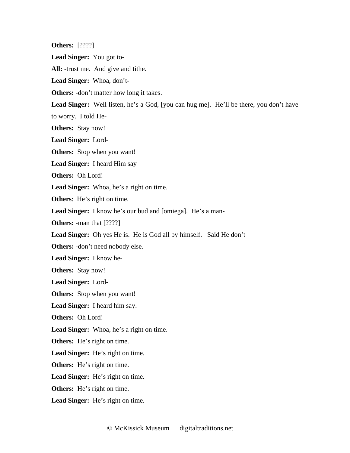**Others:** [????]

**Lead Singer:** You got to-

**All:** -trust me. And give and tithe.

**Lead Singer:** Whoa, don't-

**Others:** -don't matter how long it takes.

**Lead Singer:** Well listen, he's a God, [you can hug me]. He'll be there, you don't have

to worry. I told He-

**Others:** Stay now!

**Lead Singer:** Lord-

**Others:** Stop when you want!

**Lead Singer:** I heard Him say

**Others:** Oh Lord!

**Lead Singer:** Whoa, he's a right on time.

**Others**: He's right on time.

**Lead Singer:** I know he's our bud and [omiega]. He's a man-

**Others:** -man that [????]

Lead Singer: Oh yes He is. He is God all by himself. Said He don't

**Others:** -don't need nobody else.

**Lead Singer:** I know he-

**Others:** Stay now!

**Lead Singer:** Lord-

**Others:** Stop when you want!

**Lead Singer:** I heard him say.

**Others:** Oh Lord!

**Lead Singer:** Whoa, he's a right on time.

**Others:** He's right on time.

**Lead Singer:** He's right on time.

**Others:** He's right on time.

**Lead Singer:** He's right on time.

**Others:** He's right on time.

**Lead Singer:** He's right on time.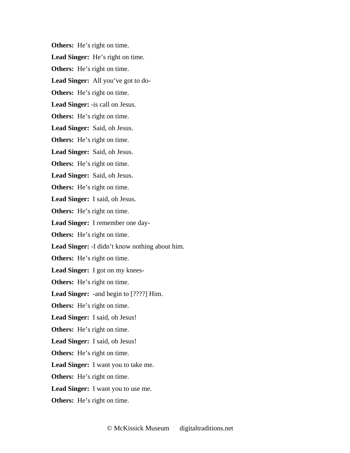**Others:** He's right on time.

**Lead Singer:** He's right on time.

**Others:** He's right on time.

**Lead Singer:** All you've got to do-

**Others:** He's right on time.

**Lead Singer:** -is call on Jesus.

**Others:** He's right on time.

**Lead Singer:** Said, oh Jesus.

**Others:** He's right on time.

**Lead Singer:** Said, oh Jesus.

**Others:** He's right on time.

**Lead Singer:** Said, oh Jesus.

**Others:** He's right on time.

**Lead Singer:** I said, oh Jesus.

**Others:** He's right on time.

**Lead Singer:** I remember one day-

**Others:** He's right on time.

**Lead Singer:** -I didn't know nothing about him.

**Others:** He's right on time.

**Lead Singer:** I got on my knees-

**Others:** He's right on time.

**Lead Singer:** -and begin to [????] Him.

**Others:** He's right on time.

**Lead Singer:** I said, oh Jesus!

**Others:** He's right on time.

**Lead Singer:** I said, oh Jesus!

**Others:** He's right on time.

**Lead Singer:** I want you to take me.

**Others:** He's right on time.

**Lead Singer:** I want you to use me.

**Others:** He's right on time.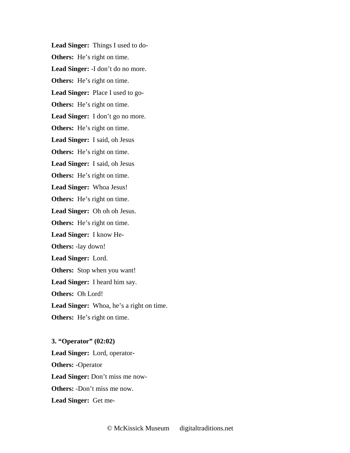**Lead Singer:** Things I used to do-**Others:** He's right on time. **Lead Singer:** -I don't do no more. **Others:** He's right on time. **Lead Singer:** Place I used to go-**Others:** He's right on time. **Lead Singer:** I don't go no more. **Others:** He's right on time. **Lead Singer:** I said, oh Jesus **Others:** He's right on time. **Lead Singer:** I said, oh Jesus **Others:** He's right on time. **Lead Singer:** Whoa Jesus! **Others:** He's right on time. **Lead Singer:** Oh oh oh Jesus. **Others:** He's right on time. **Lead Singer:** I know He-**Others:** -lay down! **Lead Singer:** Lord. **Others:** Stop when you want! **Lead Singer:** I heard him say. **Others:** Oh Lord! **Lead Singer:** Whoa, he's a right on time. **Others:** He's right on time.

**3. "Operator" (02:02) Lead Singer:** Lord, operator-**Others:** -Operator **Lead Singer:** Don't miss me now-**Others:** -Don't miss me now. **Lead Singer:** Get me-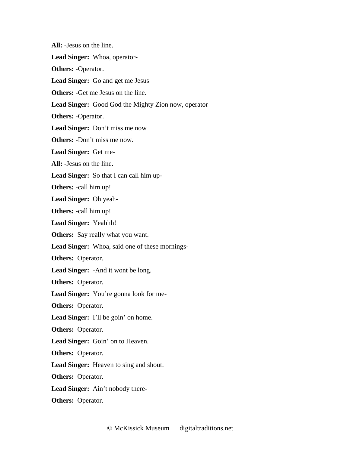**All:** -Jesus on the line. **Lead Singer:** Whoa, operator-**Others:** -Operator. **Lead Singer:** Go and get me Jesus **Others:** -Get me Jesus on the line. **Lead Singer:** Good God the Mighty Zion now, operator **Others:** -Operator. **Lead Singer:** Don't miss me now **Others:** -Don't miss me now. **Lead Singer:** Get me-**All:** -Jesus on the line. **Lead Singer:** So that I can call him up-**Others:** -call him up! **Lead Singer:** Oh yeah-**Others:** -call him up! **Lead Singer:** Yeahhh! **Others:** Say really what you want. **Lead Singer:** Whoa, said one of these mornings-**Others:** Operator. **Lead Singer:** -And it wont be long. **Others:** Operator. **Lead Singer:** You're gonna look for me-**Others:** Operator. Lead Singer: I'll be goin' on home. **Others:** Operator. **Lead Singer:** Goin' on to Heaven. **Others: Operator. Lead Singer:** Heaven to sing and shout. **Others: Operator. Lead Singer:** Ain't nobody there-**Others:** Operator.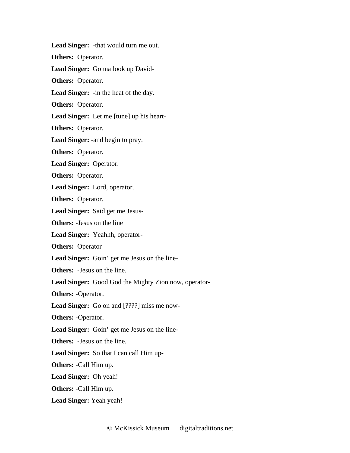**Lead Singer:** -that would turn me out. **Others:** Operator. **Lead Singer:** Gonna look up David-**Others:** Operator. **Lead Singer:** -in the heat of the day. **Others:** Operator. **Lead Singer:** Let me [tune] up his heart-**Others:** Operator. **Lead Singer:** -and begin to pray. **Others:** Operator. **Lead Singer:** Operator. **Others:** Operator. **Lead Singer:** Lord, operator. **Others:** Operator. **Lead Singer:** Said get me Jesus-**Others:** -Jesus on the line **Lead Singer:** Yeahhh, operator-**Others:** Operator **Lead Singer:** Goin' get me Jesus on the line-**Others:** -Jesus on the line. **Lead Singer:** Good God the Mighty Zion now, operator-**Others: -**Operator. Lead Singer: Go on and [????] miss me now-**Others: -**Operator. **Lead Singer:** Goin' get me Jesus on the line-**Others: -**Jesus on the line. **Lead Singer:** So that I can call Him up-**Others:** -Call Him up. **Lead Singer:** Oh yeah! **Others:** -Call Him up. **Lead Singer:** Yeah yeah!